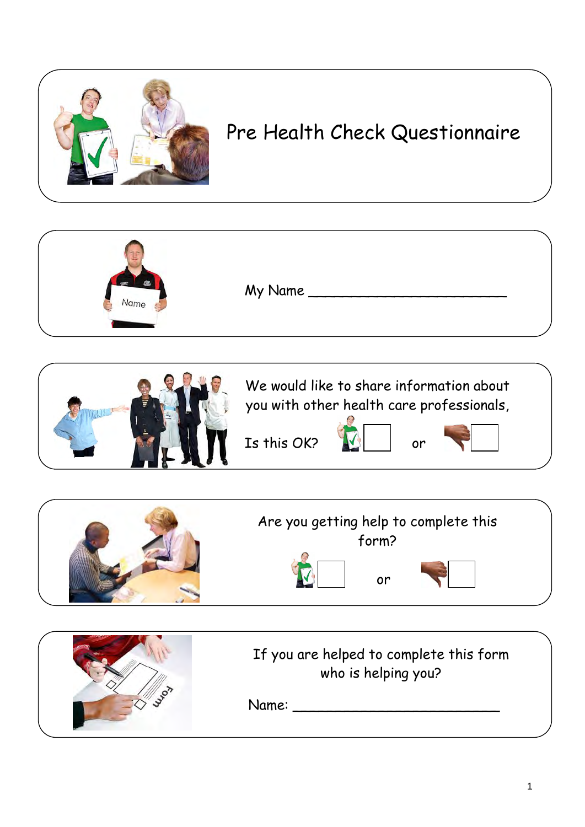

## Pre Health Check Questionnaire

| $\left( -10^{-1} \right)$<br>Name | My Name |  |
|-----------------------------------|---------|--|
|                                   |         |  |





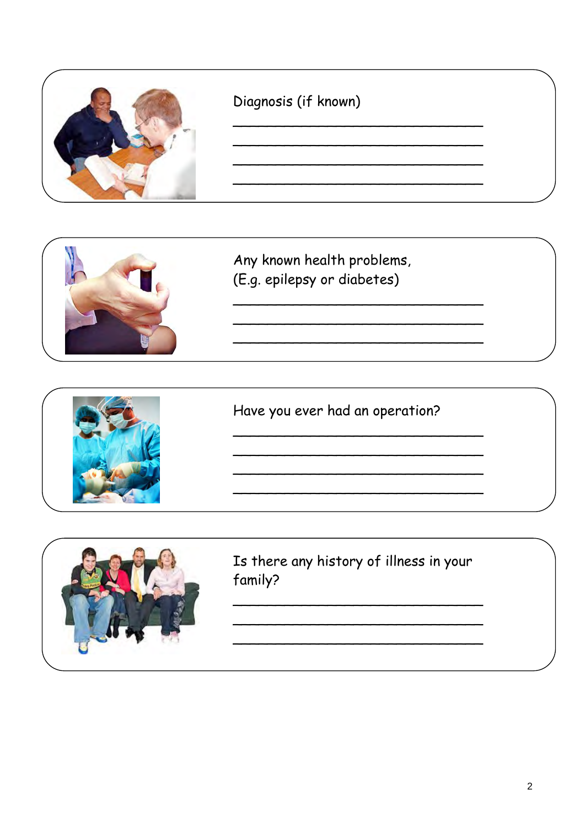



Any known health problems, (E.g. epilepsy or diabetes)



Have you ever had an operation?

<u> 1989 - Johann Barn, mars eta bainar eta bainar eta bainar eta bainar eta bainar eta bainar eta bainar eta bai</u>



Is there any history of illness in your family?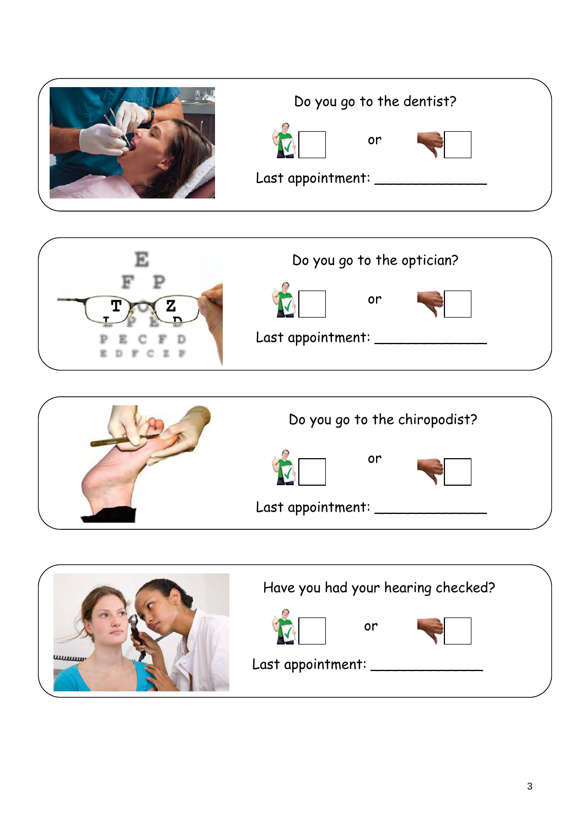| Do you go to the dentist?     |  |
|-------------------------------|--|
| or<br>Last appointment: _____ |  |





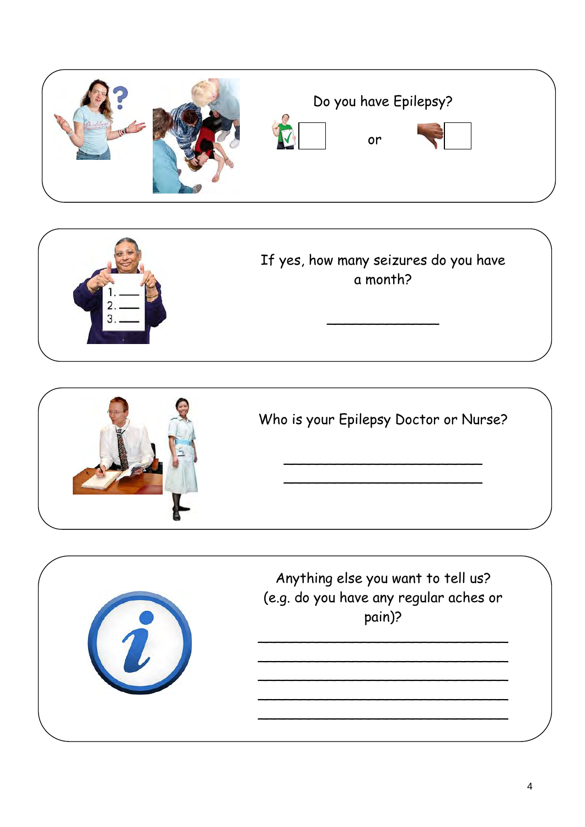





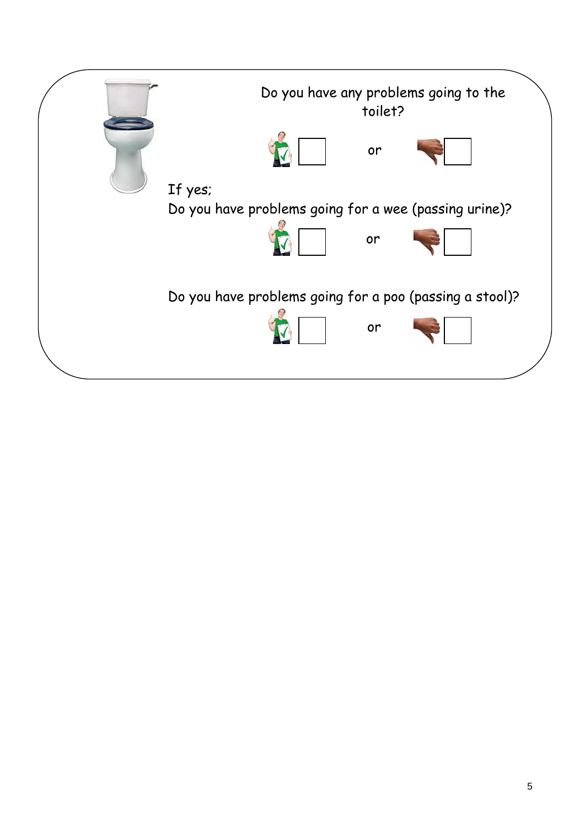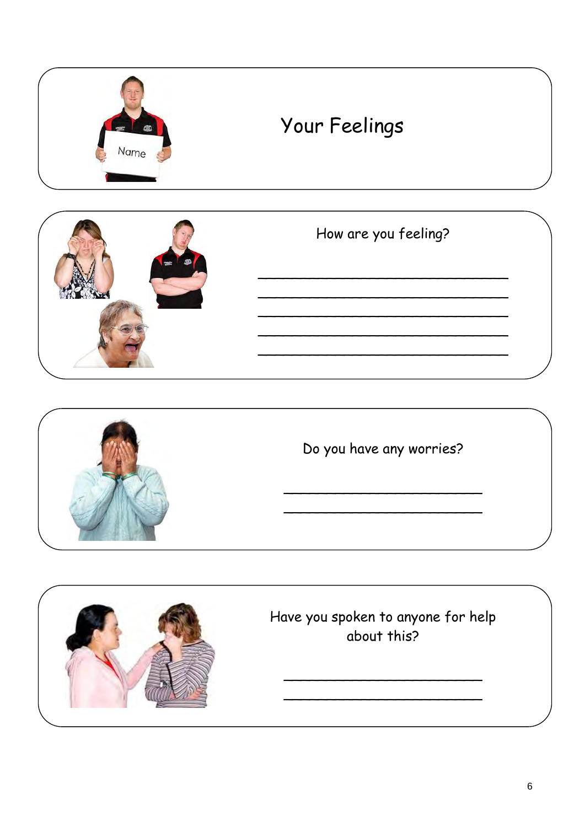



## How are you feeling?



Do you have any worries?

<u> 1980 - Johann Barn, mars eta bat eta bat eta bat eta bat eta bat eta bat eta bat eta bat eta bat eta bat eta</u>



Have you spoken to anyone for help about this?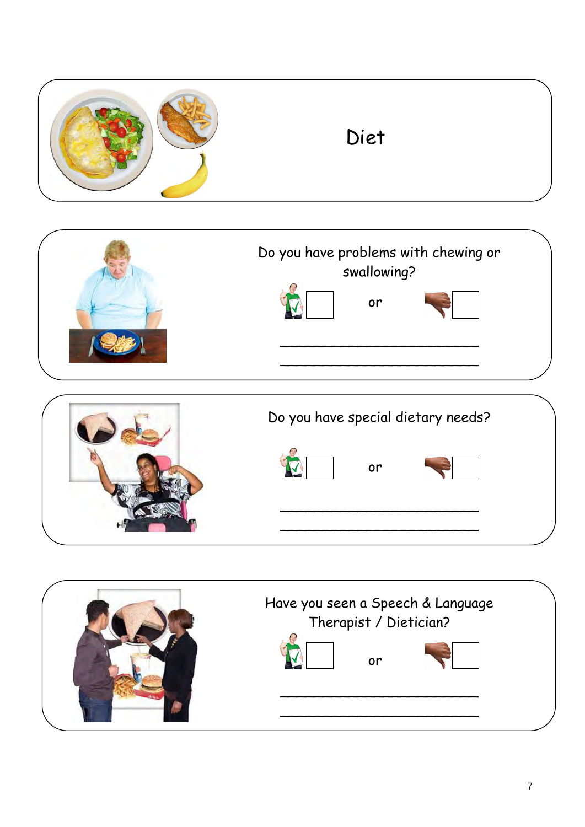| Diet |  |
|------|--|
|------|--|





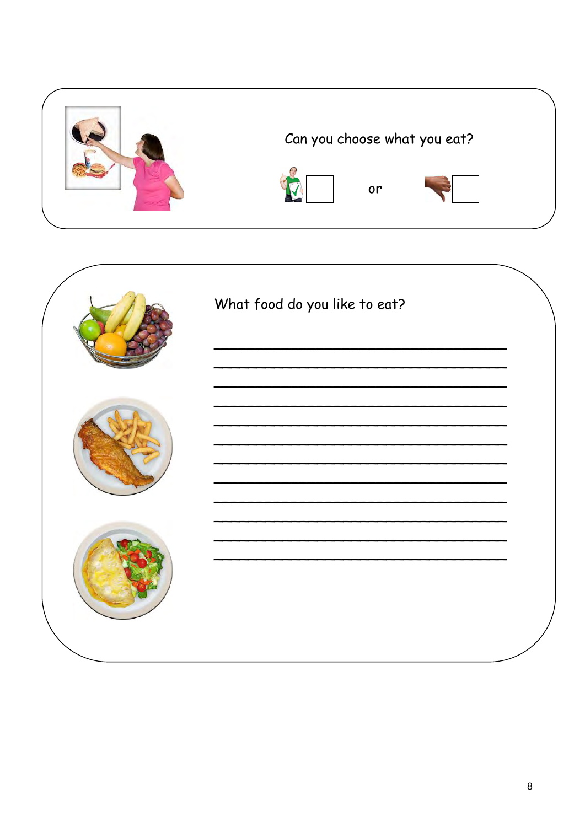

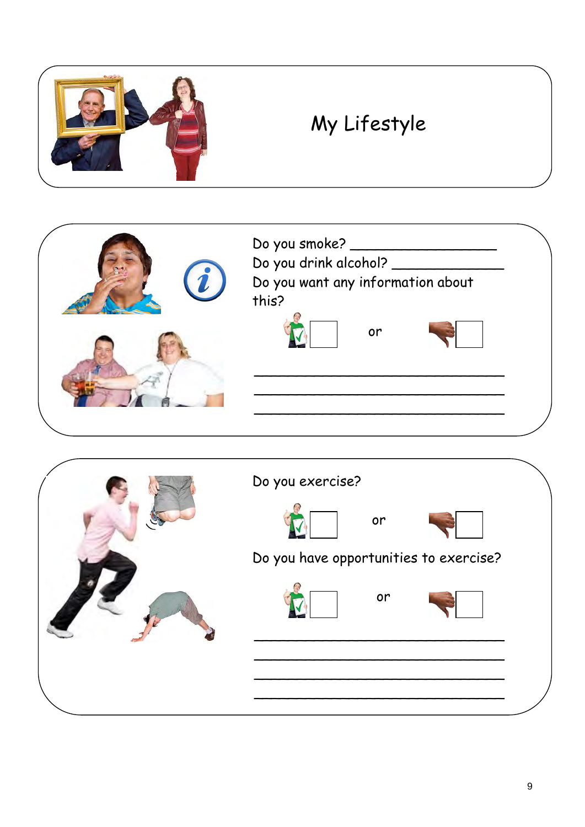

## My Lifestyle



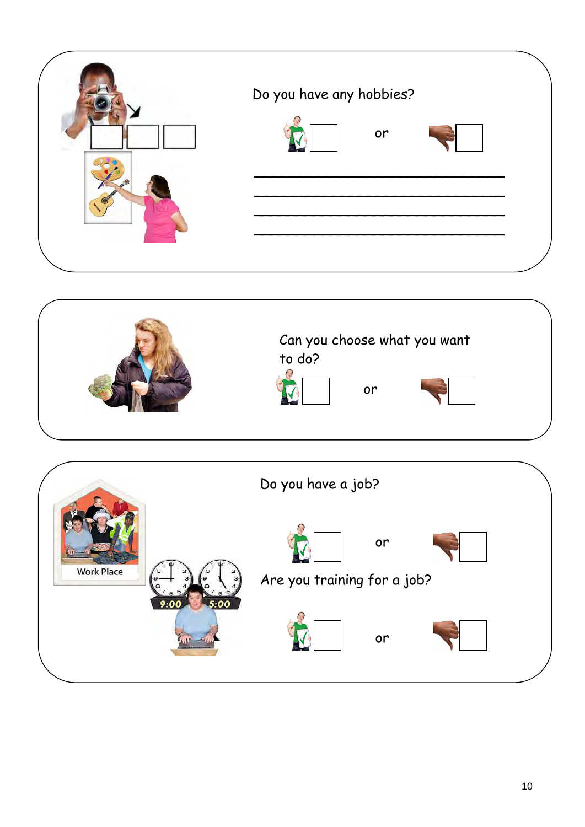| Do you have any hobbies? |
|--------------------------|
| or                       |
|                          |
|                          |
|                          |



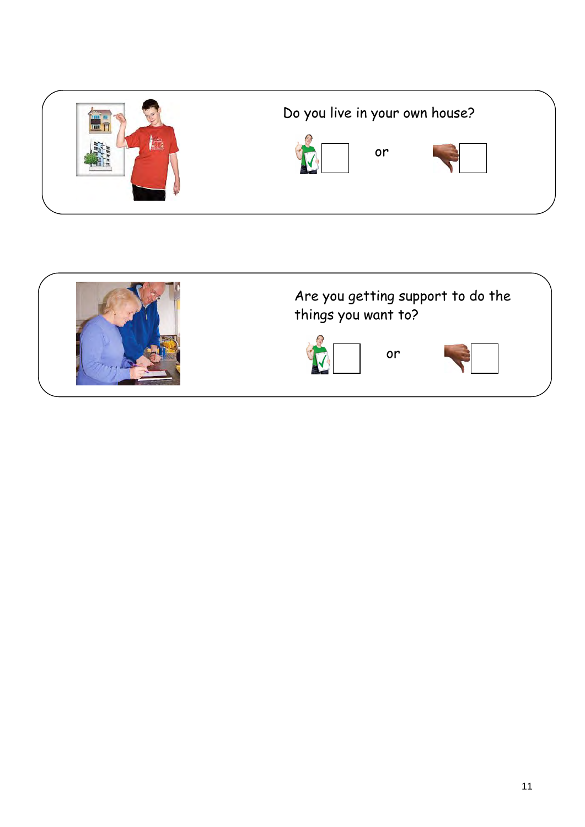



## Are you getting support to do the things you want to?

or